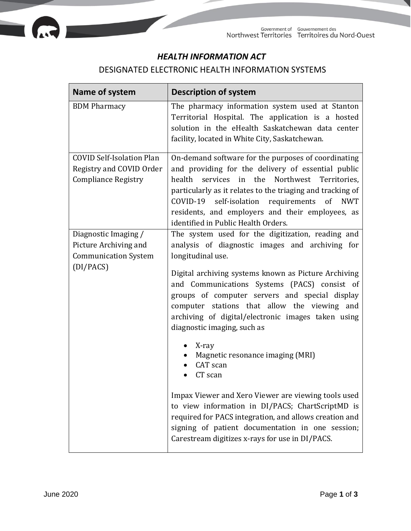

÷

## *HEALTH INFORMATION ACT*

## DESIGNATED ELECTRONIC HEALTH INFORMATION SYSTEMS

| Name of system                                                                             | <b>Description of system</b>                                                                                                                                                                                                                                                                                                                                                                                                                                                                                                                        |
|--------------------------------------------------------------------------------------------|-----------------------------------------------------------------------------------------------------------------------------------------------------------------------------------------------------------------------------------------------------------------------------------------------------------------------------------------------------------------------------------------------------------------------------------------------------------------------------------------------------------------------------------------------------|
| <b>BDM</b> Pharmacy                                                                        | The pharmacy information system used at Stanton<br>Territorial Hospital. The application is a hosted<br>solution in the eHealth Saskatchewan data center<br>facility, located in White City, Saskatchewan.                                                                                                                                                                                                                                                                                                                                          |
| <b>COVID Self-Isolation Plan</b><br>Registry and COVID Order<br><b>Compliance Registry</b> | On-demand software for the purposes of coordinating<br>and providing for the delivery of essential public<br>health<br>services in the<br>Northwest Territories,<br>particularly as it relates to the triaging and tracking of<br>COVID-19 self-isolation requirements of NWT<br>residents, and employers and their employees, as<br>identified in Public Health Orders.                                                                                                                                                                            |
| Diagnostic Imaging /<br>Picture Archiving and<br><b>Communication System</b><br>(DI/PACS)  | The system used for the digitization, reading and<br>analysis of diagnostic images and archiving for<br>longitudinal use.<br>Digital archiving systems known as Picture Archiving<br>and Communications Systems (PACS) consist of<br>groups of computer servers and special display<br>computer stations that allow the viewing and<br>archiving of digital/electronic images taken using<br>diagnostic imaging, such as<br>X-ray<br>Magnetic resonance imaging (MRI)<br>CAT scan<br>CT scan<br>Impax Viewer and Xero Viewer are viewing tools used |
|                                                                                            | to view information in DI/PACS; ChartScriptMD is<br>required for PACS integration, and allows creation and<br>signing of patient documentation in one session;<br>Carestream digitizes x-rays for use in DI/PACS.                                                                                                                                                                                                                                                                                                                                   |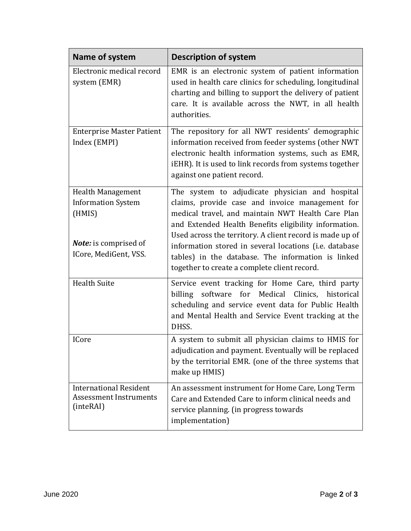| Name of system                                                                                                           | <b>Description of system</b>                                                                                                                                                                                                                                                                                                                                                                                                                 |
|--------------------------------------------------------------------------------------------------------------------------|----------------------------------------------------------------------------------------------------------------------------------------------------------------------------------------------------------------------------------------------------------------------------------------------------------------------------------------------------------------------------------------------------------------------------------------------|
| Electronic medical record<br>system (EMR)                                                                                | EMR is an electronic system of patient information<br>used in health care clinics for scheduling, longitudinal<br>charting and billing to support the delivery of patient<br>care. It is available across the NWT, in all health<br>authorities.                                                                                                                                                                                             |
| <b>Enterprise Master Patient</b><br>Index (EMPI)                                                                         | The repository for all NWT residents' demographic<br>information received from feeder systems (other NWT<br>electronic health information systems, such as EMR,<br>iEHR). It is used to link records from systems together<br>against one patient record.                                                                                                                                                                                    |
| <b>Health Management</b><br><b>Information System</b><br>(HMIS)<br><b>Note:</b> is comprised of<br>ICore, MediGent, VSS. | The system to adjudicate physician and hospital<br>claims, provide case and invoice management for<br>medical travel, and maintain NWT Health Care Plan<br>and Extended Health Benefits eligibility information.<br>Used across the territory. A client record is made up of<br>information stored in several locations (i.e. database<br>tables) in the database. The information is linked<br>together to create a complete client record. |
| <b>Health Suite</b>                                                                                                      | Service event tracking for Home Care, third party<br>billing software<br>for Medical Clinics, historical<br>scheduling and service event data for Public Health<br>and Mental Health and Service Event tracking at the<br>DHSS.                                                                                                                                                                                                              |
| <b>ICore</b>                                                                                                             | A system to submit all physician claims to HMIS for<br>adjudication and payment. Eventually will be replaced<br>by the territorial EMR. (one of the three systems that<br>make up HMIS)                                                                                                                                                                                                                                                      |
| <b>International Resident</b><br><b>Assessment Instruments</b><br>(inteRAI)                                              | An assessment instrument for Home Care, Long Term<br>Care and Extended Care to inform clinical needs and<br>service planning. (in progress towards<br>implementation)                                                                                                                                                                                                                                                                        |